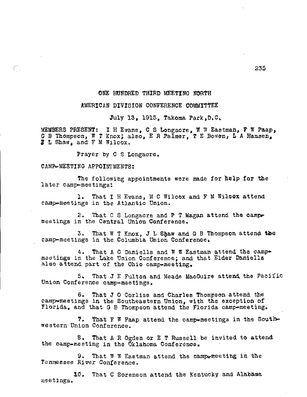### ONE HUNDRED THIRD MEETING NORTH

#### AMERICAN DIVISION CONFERENCE COMMITTEE

July 13, 1915, Takoma Park,D.C,

MEMBERS PRESENT: I H Evans, C S Longacre, W W Eastman, F W Paap, G B Thompson, W T Knox; also, E R Palmer, T E Bowen, L A Hansen, L Shaw, and F M Wilcox.

Prayer by C S Longacre.

#### CAMP-MEETING APPOINTMENTS:

C,

The following appointments were made for **help** for the later camp-meetings:

1. That I H Evans, M C Wilcox and F M Wilcox attend camp-meetings in the Atlantic Union.

2. That **C** S Longacre and P T Magan attend the campy meetings in the Central Union Conference.

3. That W T Knox, J L Shaw and G B Thompson attend the camp-meetings in the Columbia Union Conference,

4. That A G Daniells and W W Eastman attend the campmeetings in the Lake Union Conference; and that Elder Danielle also attend part of the Ohio camp-meeting,

5, That J E Fulton and Meade MacGuire attend. the Pacific Union Conference camp-meetings.

6. That J 0 Corliss and Charles Thompson attend the camp-meetings in the Southeastern Union, with the exception of Florida, and that G B Thompson attend the Florida camp-meeting.

7. That  $F$  W Paap attend the camp-meetings in the Southwestern Union Conference.

8. That A R Ogden or E T Russell be invited to attend the camp-meeting in the Oklahoma Conference.

9. That W W Eastman attend the campwweeting in the Tennessee River Conference.

10. That C Sorenson attend the Kentucky and Alabama meetings.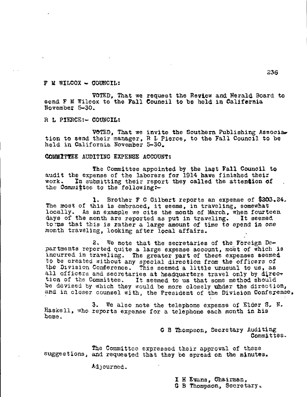$\bar{Y}$  M WILCOX  $\rightarrow$  COUNCIL:

VOTED, That we request the Review and Herald Board to send F M Wilcox to the Fall Council to be held in Califernia November 5-30.

R L PIERCE:- COUNCIL:

VOTED, That we invite the Southern Publishing Association to send their manager, R L Pierce, to the Fall Council to be held in California November 5-30.

COMUZITEE AUDITING EXPENSE ACCOUNT:

The Committee appointed by the last Fall Council to audit the expense of the laborers for 1914 have finished their work. In submitting their report they called the attendion of the Committee to the following:-

1. Brother F C Gilbert reports an expense of \$303.24. The most of this is embraced, it seems, in traveling, somewhat locally. As an example we cite the month of March, when fourteen days of the month are reported as put in traveling. It seemed tome that this is rather a large amount of time to spend in one month traveling, looking after local affairs.

2. We note that the secretaries of the Foreign Departments reported quite a large expense account, most of which is incurred in traveling. The greater part of these expenses seemed to be created without any special direction from the officers of the Division Conference. This seemed a little unusual to us, as all officers and secretaries at headquarters travel only by direction of the Committee. It seemed to us that some method should be devised by which they would be more closely under the direction, and in closer counsel with, the President of the Division Conference,

3. we also note the telephone expense of Elder S. F. Haskell, who reports expense for a telephone each month in his home.

> G B Thompson, Secretary Auditing Committee.

The Committee expressed their approval of these suggestions, and requested that they be spread on the minutes.

Adjourned.

I H Evans, Chairman,

G B Thompson, Secretary,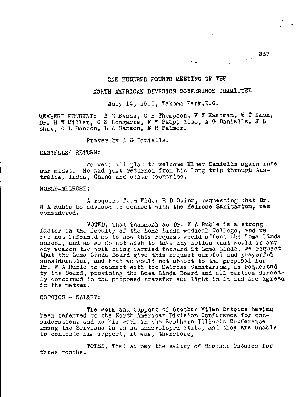# ONE HUNDRED FOURTH MEETING OF THE

## NORTH AMERICAN DIVISION CONFERENCE COMMITTEE

July 14, 1915, Takoma Park,D.C.

MEMBERE PRESENT: I H Evans, G B Thompson, W W Eastman, W T Knox, Dr. H W Miller, C S Longacre, F W Paap; also, A G Daniells, J L Shaw, C L Benson, L A Hansen, E R Palmer.

Prayer by A G Daniells.

DANIELLS' RETURN:

We were all glad to welcome Elder Daniells again into our midst. He had just returned from his long trip through Australia, India, China and other countries.

RUBLE—MELROSE:

A request from Elder R D Quinn, requesting that Dr. W A Ruble be advised to connect with the Melrose Sanitarium, was considered.

VOTED, That inasmuch as Dr. W A Ruble is a strong factor in the faculty of the Loma Linda wedical College, and we are not informed as to how this request would affect the Loma Linda school, and as we do not wish to take any action that would in any way weaken the work being carried forward at Loma Linda, we request that the Loma Linda Board give this request careful and prayerful consideration, and that we would not object to the proposal fox Dr. W A Ruble to connect with the Melrose Sanitarium, as requested by its Board, providing the Loma Linda Board and all parties direct ly concerned in the proposed transfer see light in it and are agreed in the matter.

©STOICS SAL&RY:

The work and support of Brother Milan Ostoics having been referred to the North American Division Conference for consideration, and as his work in the Southern Illinois Conference among the Servians is in an undeveloped state, and they are unable to continue his support, it was, therefore,

VOTED, That we pay the salary of Brother Ostoics for three months.

 $\sim$   $\sigma$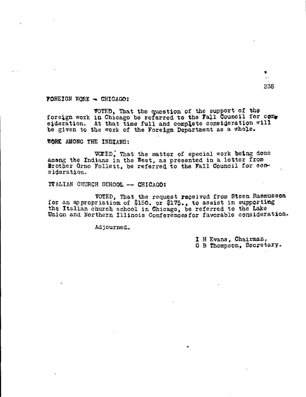238

## FOREIGN WORK - CHICAGO:

VOTED) That the question of the support of the foreign work in Chicago be referred to the Fall Council for con. sideration. At that time full and complete consideration will be given to the work of the Foreign Department as a whole.

WORK AMONG THE INDIANS:

VOTED: That the matter of special work being done among the Indians in the West, as presented in a letter from Brother Orno Follett, be referred to the Fall Council for consideration.

ITALIAN CHURCH SCHOOL -- CHICAGO:

VOTED, That the request received from Steen Rasmusson for an appropriationof \$150. or \$175., to assist in supporting the Italian church school in Chicago, be referred to the Lake Union and Northern Illinois Conferenoesfor favorable consideration.

Adjourned.

I H Evans, Chairman, G B Thompson, Secretary.